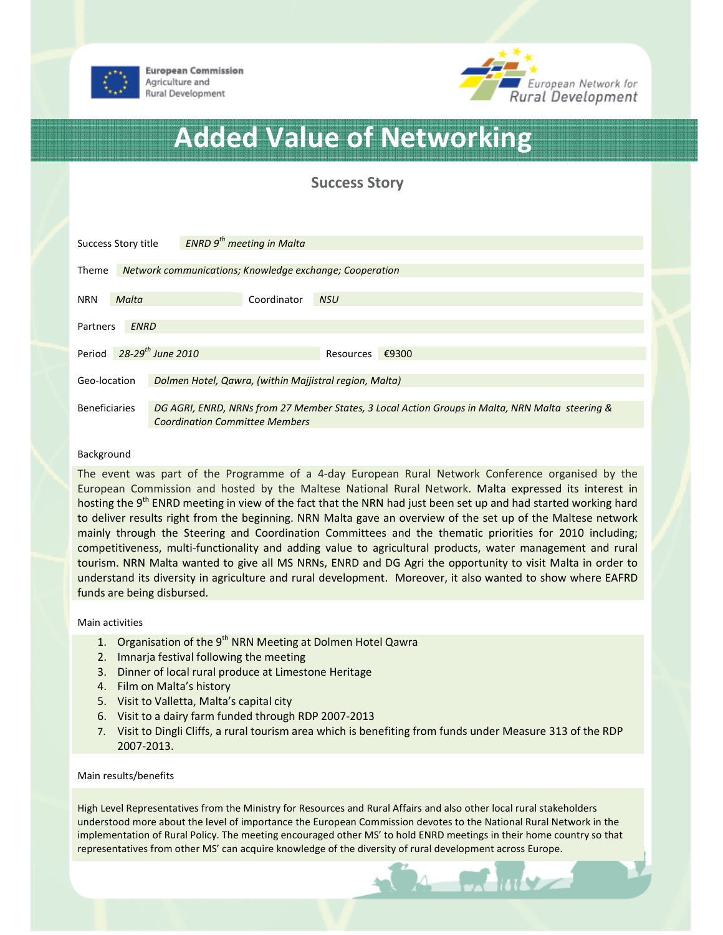



# Added Value of Networking

Success Story

| <b>ENRD</b> $9th$ meeting in Malta<br>Success Story title |       |                                                                                                                                          |
|-----------------------------------------------------------|-------|------------------------------------------------------------------------------------------------------------------------------------------|
| <b>Theme</b>                                              |       | Network communications; Knowledge exchange; Cooperation                                                                                  |
| <b>NRN</b>                                                | Malta | Coordinator<br><b>NSU</b>                                                                                                                |
| <b>ENRD</b><br>Partners                                   |       |                                                                                                                                          |
| Period                                                    |       | 28-29 <sup>th</sup> June 2010<br>Resources $\epsilon$ 9300                                                                               |
| Geo-location                                              |       | Dolmen Hotel, Qawra, (within Majjistral region, Malta)                                                                                   |
| <b>Beneficiaries</b>                                      |       | DG AGRI, ENRD, NRNs from 27 Member States, 3 Local Action Groups in Malta, NRN Malta steering &<br><b>Coordination Committee Members</b> |

# Background

The event was part of the Programme of a 4-day European Rural Network Conference organised by the European Commission and hosted by the Maltese National Rural Network. Malta expressed its interest in hosting the 9<sup>th</sup> ENRD meeting in view of the fact that the NRN had just been set up and had started working hard to deliver results right from the beginning. NRN Malta gave an overview of the set up of the Maltese network mainly through the Steering and Coordination Committees and the thematic priorities for 2010 including; competitiveness, multi-functionality and adding value to agricultural products, water management and rural tourism. NRN Malta wanted to give all MS NRNs, ENRD and DG Agri the opportunity to visit Malta in order to understand its diversity in agriculture and rural development. Moreover, it also wanted to show where EAFRD funds are being disbursed.

## Main activities

- 1. Organisation of the 9<sup>th</sup> NRN Meeting at Dolmen Hotel Qawra
- 2. Imnarja festival following the meeting
- 3. Dinner of local rural produce at Limestone Heritage
- 4. Film on Malta's history
- 5. Visit to Valletta, Malta's capital city
- 6. Visit to a dairy farm funded through RDP 2007-2013
- 7. Visit to Dingli Cliffs, a rural tourism area which is benefiting from funds under Measure 313 of the RDP 2007-2013.

#### Main results/benefits

High Level Representatives from the Ministry for Resources and Rural Affairs and also other local rural stakeholders understood more about the level of importance the European Commission devotes to the National Rural Network in the implementation of Rural Policy. The meeting encouraged other MS' to hold ENRD meetings in their home country so that representatives from other MS' can acquire knowledge of the diversity of rural development across Europe.